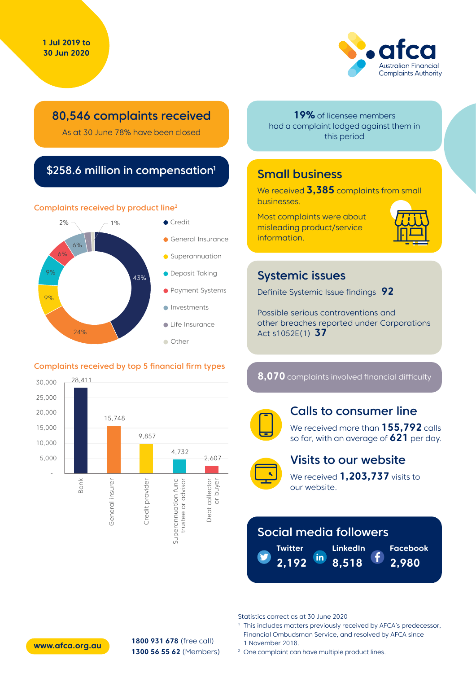

## 80,546 complaints received

As at 30 June 78% have been closed

## \$258.6 million in compensation<sup>1</sup>

#### Complaints received by product line2



#### Complaints received by top 5 financial firm types



**19%** of licensee members had a complaint lodged against them in this period

## Small business

We received **3,385** complaints from small businesses.

Most complaints were about misleading product/service information.



## Systemic issues

Definite Systemic Issue findings **92**

Possible serious contraventions and other breaches reported under Corporations Act s1052E(1) **37**

**8,070** complaints involved financial difficulty



#### Calls to consumer line

We received more than **155,792** calls so far, with an average of **621** per day.



#### Visits to our website

We received **1,203,737** visits to our website.

# Social media followers

**Twitter 2,192 LinkedIn 8,518**

**Facebook**

**2,980**

Statistics correct as at 30 June 2020

<sup>1</sup> This includes matters previously received by AFCA's predecessor, Financial Ombudsman Service, and resolved by AFCA since 1 November 2018.

**www.afca.org.au**

**1800 931 678** (free call) **1300 56 55 62** (Members)

<sup>2</sup> One complaint can have multiple product lines.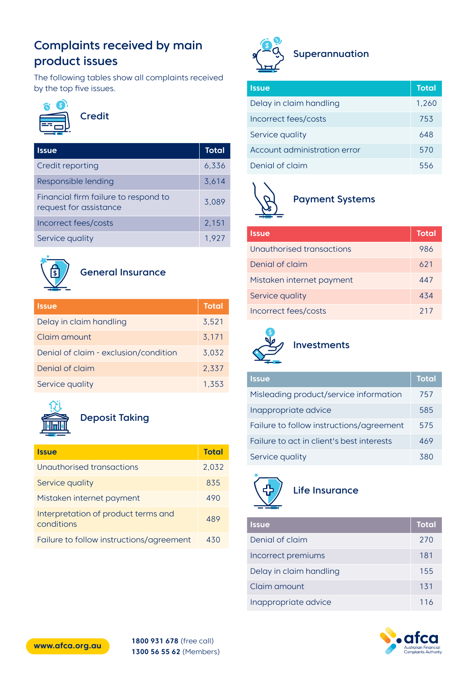# Complaints received by main product issues

The following tables show all complaints received by the top five issues.



## Credit

| <b>Issue</b>                                                   | <b>Total</b> |
|----------------------------------------------------------------|--------------|
| Credit reporting                                               | 6.336        |
| Responsible lending                                            | 3.614        |
| Financial firm failure to respond to<br>request for assistance | 3,089        |
| Incorrect fees/costs                                           | 2,151        |
| Service quality                                                | 1.927        |



#### General Insurance

| <b>Issue</b>                          | <b>Total</b> |
|---------------------------------------|--------------|
| Delay in claim handling               | 3.521        |
| Claim amount                          | 3,171        |
| Denial of claim - exclusion/condition | 3,032        |
| Denial of claim                       | 2,337        |
| Service quality                       | 1.353        |



# Deposit Taking

| <b>Issue</b>                                      | <b>Total</b> |
|---------------------------------------------------|--------------|
| Unauthorised transactions                         | 2,032        |
| Service quality                                   | 835          |
| Mistaken internet payment                         | 490          |
| Interpretation of product terms and<br>conditions | 489          |
| Failure to follow instructions/agreement          | 430          |



| <u>Issue</u>                 | <b>Total</b> |
|------------------------------|--------------|
| Delay in claim handling      | 1,260        |
| Incorrect fees/costs         | 753          |
| Service quality              | 648          |
| Account administration error | 570          |
| Denial of claim              | 556          |



#### Payment Systems

| <b>Issue</b>              | <b>Total</b> |
|---------------------------|--------------|
| Unauthorised transactions | 986          |
| Denial of claim           | 621          |
| Mistaken internet payment | 447          |
| Service quality           | 434          |
| Incorrect fees/costs      | 217          |



# Investments

| <b>Issue</b>                              | <b>Total</b> |
|-------------------------------------------|--------------|
| Misleading product/service information    | 757          |
| Inappropriate advice                      | 585          |
| Failure to follow instructions/agreement  | 575          |
| Failure to act in client's best interests | 469          |
| Service quality                           | 380          |



#### Life Insurance

| <b>Issue</b>            | <b>Total</b> |
|-------------------------|--------------|
| Denial of claim         | 270          |
| Incorrect premiums      | 181          |
| Delay in claim handling | 155          |
| Claim amount            | 131          |
| Inappropriate advice    | 116          |